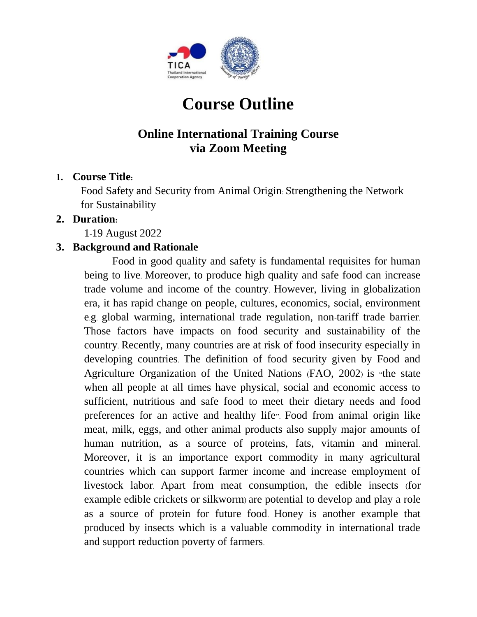

# **Course Outline**

# **Online International Training Course via Zoom Meeting**

### **1. Course Title:**

Food Safety and Security from Animal Origin: Strengthening the Network for Sustainability

#### **2. Duration:**

1-19 August 2022

### **3. Background and Rationale**

Food in good quality and safety is fundamental requisites for human being to live. Moreover, to produce high quality and safe food can increase trade volume and income of the country. However, living in globalization era, it has rapid change on people, cultures, economics, social, environment e.g. global warming, international trade regulation, non-tariff trade barrier. Those factors have impacts on food security and sustainability of the country. Recently, many countries are at risk of food insecurity especially in developing countries. The definition of food security given by Food and Agriculture Organization of the United Nations (FAO, 2002) is "the state when all people at all times have physical, social and economic access to sufficient, nutritious and safe food to meet their dietary needs and food preferences for an active and healthy life". Food from animal origin like meat, milk, eggs, and other animal products also supply major amounts of human nutrition, as a source of proteins, fats, vitamin and mineral. Moreover, it is an importance export commodity in many agricultural countries which can support farmer income and increase employment of livestock labor. Apart from meat consumption, the edible insects (for example edible crickets or silkworm) are potential to develop and play a role as a source of protein for future food. Honey is another example that produced by insects which is a valuable commodity in international trade and support reduction poverty of farmers.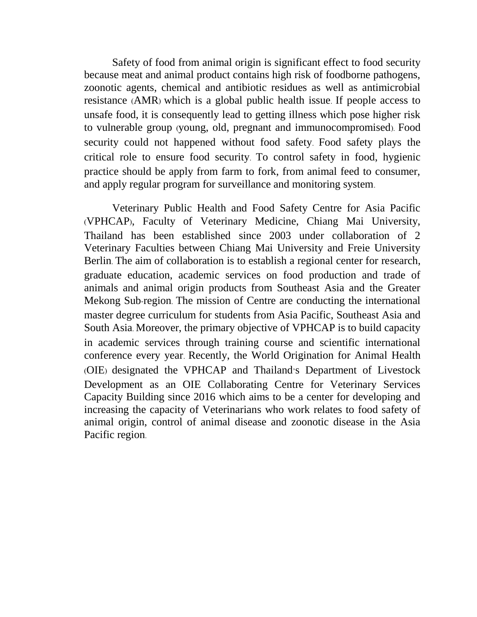Safety of food from animal origin is significant effect to food security because meat and animal product contains high risk of foodborne pathogens, zoonotic agents, chemical and antibiotic residues as well as antimicrobial resistance (AMR) which is a global public health issue. If people access to unsafe food, it is consequently lead to getting illness which pose higher risk to vulnerable group (young, old, pregnant and immunocompromised). Food security could not happened without food safety. Food safety plays the critical role to ensure food security. To control safety in food, hygienic practice should be apply from farm to fork, from animal feed to consumer, and apply regular program for surveillance and monitoring system.

Veterinary Public Health and Food Safety Centre for Asia Pacific (VPHCAP), Faculty of Veterinary Medicine, Chiang Mai University, Thailand has been established since 2003 under collaboration of 2 Veterinary Faculties between Chiang Mai University and Freie University Berlin. The aim of collaboration is to establish a regional center for research, graduate education, academic services on food production and trade of animals and animal origin products from Southeast Asia and the Greater Mekong Sub-region. The mission of Centre are conducting the international master degree curriculum for students from Asia Pacific, Southeast Asia and South Asia. Moreover, the primary objective of VPHCAP is to build capacity in academic services through training course and scientific international conference every year. Recently, the World Origination for Animal Health (OIE) designated the VPHCAP and Thailand's Department of Livestock Development as an OIE Collaborating Centre for Veterinary Services Capacity Building since 2016 which aims to be a center for developing and increasing the capacity of Veterinarians who work relates to food safety of animal origin, control of animal disease and zoonotic disease in the Asia Pacific region.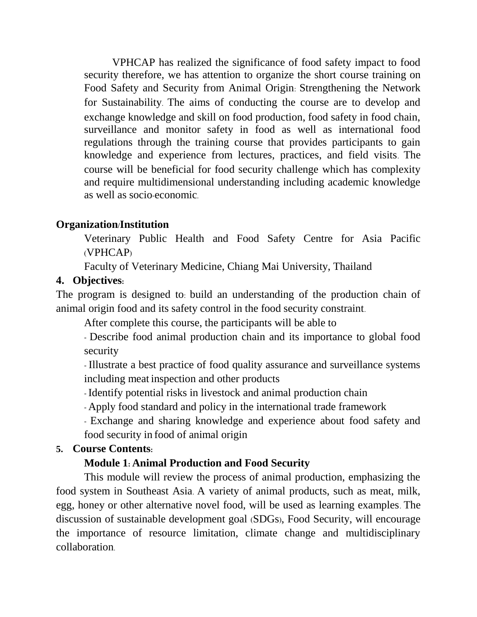VPHCAP has realized the significance of food safety impact to food security therefore, we has attention to organize the short course training on Food Safety and Security from Animal Origin: Strengthening the Network for Sustainability. The aims of conducting the course are to develop and exchange knowledge and skill on food production, food safety in food chain, surveillance and monitor safety in food as well as international food regulations through the training course that provides participants to gain knowledge and experience from lectures, practices, and field visits. The course will be beneficial for food security challenge which has complexity and require multidimensional understanding including academic knowledge as well as socio-economic.

### **Organization/Institution**

Veterinary Public Health and Food Safety Centre for Asia Pacific (VPHCAP)

Faculty of Veterinary Medicine, Chiang Mai University, Thailand

### **4. Objectives:**

The program is designed to: build an understanding of the production chain of animal origin food and its safety control in the food security constraint.

After complete this course, the participants will be able to

- Describe food animal production chain and its importance to global food security

- Illustrate a best practice of food quality assurance and surveillance systems including meat inspection and other products

-Identify potential risks in livestock and animal production chain

- Apply food standard and policy in the international trade framework

- Exchange and sharing knowledge and experience about food safety and food security in food of animal origin

#### **5. Course Contents:**

#### **Module 1: Animal Production and Food Security**

This module will review the process of animal production, emphasizing the food system in Southeast Asia. A variety of animal products, such as meat, milk, egg, honey or other alternative novel food, will be used as learning examples. The discussion of sustainable development goal (SDGs), Food Security, will encourage the importance of resource limitation, climate change and multidisciplinary collaboration.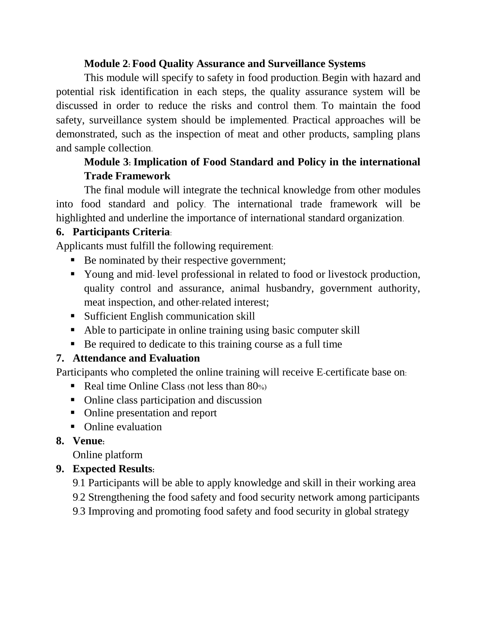### **Module 2: Food Quality Assurance and Surveillance Systems**

This module will specify to safety in food production. Begin with hazard and potential risk identification in each steps, the quality assurance system will be discussed in order to reduce the risks and control them. To maintain the food safety, surveillance system should be implemented. Practical approaches will be demonstrated, such as the inspection of meat and other products, sampling plans and sample collection.

### **Module 3: Implication of Food Standard and Policy in the international Trade Framework**

The final module will integrate the technical knowledge from other modules into food standard and policy. The international trade framework will be highlighted and underline the importance of international standard organization.

### **6. Participants Criteria**:

Applicants must fulfill the following requirement:

- Be nominated by their respective government;
- Young and mid-level professional in related to food or livestock production, quality control and assurance, animal husbandry, government authority, meat inspection, and other-related interest;
- Sufficient English communication skill
- Able to participate in online training using basic computer skill
- Be required to dedicate to this training course as a full time

### **7. Attendance and Evaluation**

Participants who completed the online training will receive E-certificate base on:

- Real time Online Class (not less than  $80\%$ )
- Online class participation and discussion
- Online presentation and report
- Online evaluation

### **8. Venue:**

Online platform

### **9. Expected Results:**

- 9.1 Participants will be able to apply knowledge and skill in their working area
- 9.2 Strengthening the food safety and food security network among participants

9.3 Improving and promoting food safety and food security in global strategy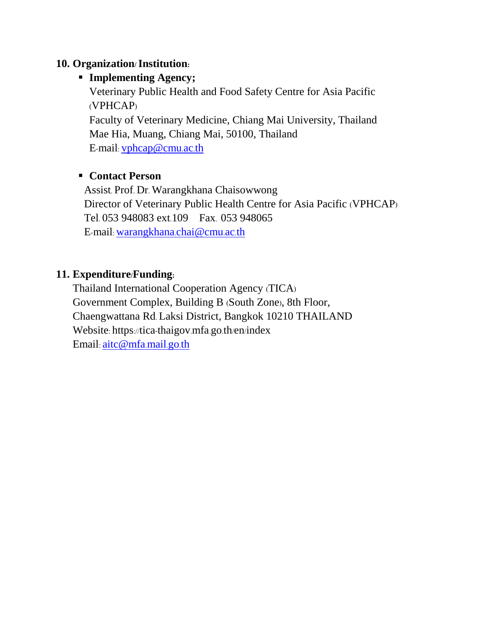### **10. Organization/Institution:**

### **Implementing Agency;**

Veterinary Public Health and Food Safety Centre for Asia Pacific (VPHCAP)

Faculty of Veterinary Medicine, Chiang Mai University, Thailand Mae Hia, Muang, Chiang Mai, 50100, Thailand E-mail: [vphcap@cmu](mailto:vphcap@cmu.ac.th).ac.th

### **Contact Person**

Assist. Prof. Dr. Warangkhana Chaisowwong Director of Veterinary Public Health Centre for Asia Pacific (VPHCAP) Tel. 053 948083 ext.109 Fax. 053 948065 E-mail: [warangkhana](mailto:warangkhana.chai@cmu.ac.th).chai@cmu.ac.th

### **11. Expenditure/Funding:**

Thailand International Cooperation Agency (TICA) Government Complex, Building B (South Zone), 8th Floor, Chaengwattana Rd. Laksi District, Bangkok 10210 THAILAND Website: https://tica-thaigov.mfa.go.th/en/index Email: [aitc@mfa](mailto:aitc@mfa.mail.go.th).mail.go.th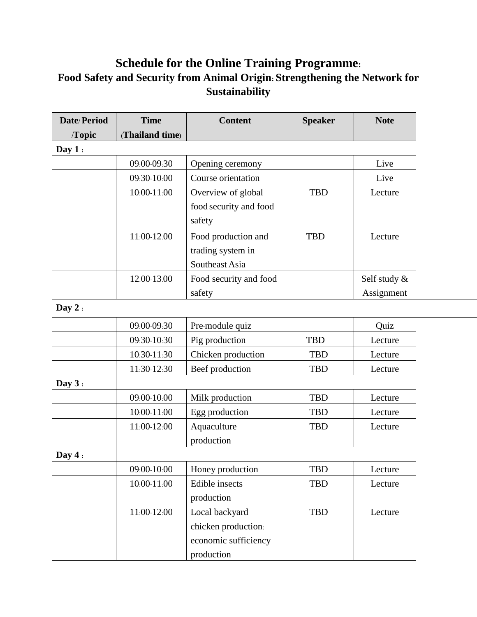## **Schedule for the Online Training Programme: Food Safety and Security from Animal Origin: Strengthening the Network for Sustainability**

| Date/Period | <b>Time</b>     | <b>Content</b>         | <b>Speaker</b> | <b>Note</b>  |
|-------------|-----------------|------------------------|----------------|--------------|
| Topic       | (Thailand time) |                        |                |              |
| Day $1:$    |                 |                        |                |              |
|             | 09:00-09:30     | Opening ceremony       |                | Live         |
|             | 09:30-10:00     | Course orientation     |                | Live         |
|             | $10:00 - 11:00$ | Overview of global     | <b>TBD</b>     | Lecture      |
|             |                 | food security and food |                |              |
|             |                 | safety                 |                |              |
|             | 11:00-12.00     | Food production and    | TBD            | Lecture      |
|             |                 | trading system in      |                |              |
|             |                 | Southeast Asia         |                |              |
|             | 12.00-13.00     | Food security and food |                | Self-study & |
|             |                 | safety                 |                | Assignment   |
| Day $2:$    |                 |                        |                |              |
|             | 09:00-09:30     | Pre-module quiz        |                | Quiz         |
|             | 09:30-10:30     | Pig production         | <b>TBD</b>     | Lecture      |
|             | 10:30-11:30     | Chicken production     | TBD            | Lecture      |
|             | 11:30-12:30     | Beef production        | <b>TBD</b>     | Lecture      |
| Day $3:$    |                 |                        |                |              |
|             | 09:00-10:00     | Milk production        | <b>TBD</b>     | Lecture      |
|             | $10:00 - 11:00$ | Egg production         | TBD            | Lecture      |
|             | 11:00-12:00     | Aquaculture            | TBD            | Lecture      |
|             |                 | production             |                |              |
| Day $4:$    |                 |                        |                |              |
|             | 09:00-10:00     | Honey production       | TBD            | Lecture      |
|             | $10:00 - 11:00$ | Edible insects         | TBD            | Lecture      |
|             |                 | production             |                |              |
|             | 11:00-12:00     | Local backyard         | TBD            | Lecture      |
|             |                 | chicken production:    |                |              |
|             |                 | economic sufficiency   |                |              |
|             |                 | production             |                |              |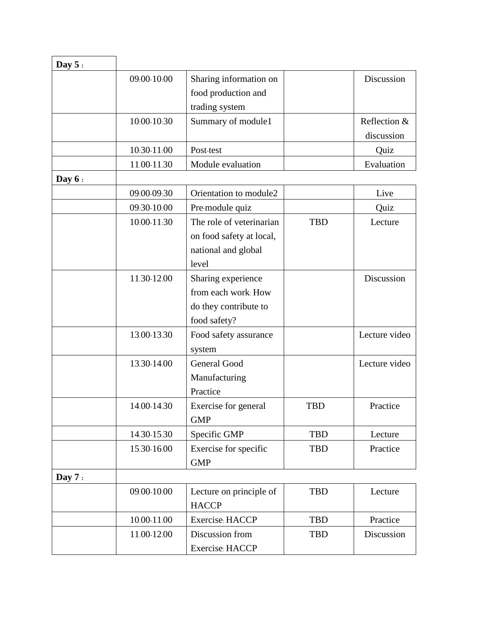| Day $5:$ |             |                                                                                      |            |                            |
|----------|-------------|--------------------------------------------------------------------------------------|------------|----------------------------|
|          | 09:00-10:00 | Sharing information on<br>food production and<br>trading system                      |            | Discussion                 |
|          | 10:00-10:30 | Summary of module1                                                                   |            | Reflection &<br>discussion |
|          | 10:30-11:00 | Post-test                                                                            |            | Quiz                       |
|          | 11.00-11.30 | Module evaluation                                                                    |            | Evaluation                 |
| Day $6:$ |             |                                                                                      |            |                            |
|          | 09:00-09:30 | Orientation to module2                                                               |            | Live                       |
|          | 09:30-10:00 | Pre-module quiz                                                                      |            | Quiz                       |
|          | 10:00-11:30 | The role of veterinarian<br>on food safety at local,<br>national and global<br>level | <b>TBD</b> | Lecture                    |
|          | 11.30-12.00 | Sharing experience<br>from each work: How<br>do they contribute to<br>food safety?   |            | Discussion                 |
|          | 13.00-13.30 | Food safety assurance<br>system                                                      |            | Lecture video              |
|          | 13.30-14.00 | <b>General Good</b><br>Manufacturing<br>Practice                                     |            | Lecture video              |
|          | 14.00-14.30 | Exercise for general<br><b>GMP</b>                                                   | TBD        | Practice                   |
|          | 14.30-15.30 | Specific GMP                                                                         | <b>TBD</b> | Lecture                    |
|          | 15.30-16.00 | Exercise for specific<br><b>GMP</b>                                                  | <b>TBD</b> | Practice                   |
| Day $7:$ |             |                                                                                      |            |                            |
|          | 09.00-10.00 | Lecture on principle of<br><b>HACCP</b>                                              | <b>TBD</b> | Lecture                    |
|          | 10.00-11.00 | Exercise: HACCP                                                                      | <b>TBD</b> | Practice                   |
|          | 11.00-12.00 | Discussion from<br>Exercise: HACCP                                                   | <b>TBD</b> | Discussion                 |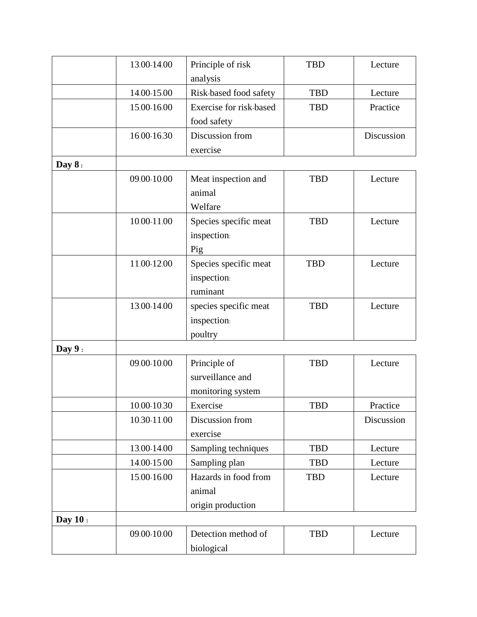|          | 13.00-14.00 | Principle of risk       | <b>TBD</b> | Lecture    |
|----------|-------------|-------------------------|------------|------------|
|          |             | analysis                |            |            |
|          | 14.00-15.00 | Risk-based food safety  | <b>TBD</b> | Lecture    |
|          | 15.00-16.00 | Exercise for risk-based | <b>TBD</b> | Practice   |
|          |             | food safety             |            |            |
|          | 16.00-16.30 | Discussion from         |            | Discussion |
|          |             | exercise                |            |            |
| Day $8:$ |             |                         |            |            |
|          | 09.00-10.00 | Meat inspection and     | <b>TBD</b> | Lecture    |
|          |             | animal                  |            |            |
|          |             | Welfare                 |            |            |
|          | 10.00-11.00 | Species specific meat   | <b>TBD</b> | Lecture    |
|          |             | inspection:             |            |            |
|          |             | Pig                     |            |            |
|          | 11.00-12.00 | Species specific meat   | <b>TBD</b> | Lecture    |
|          |             | inspection:             |            |            |
|          |             | ruminant                |            |            |
|          | 13.00-14.00 | species specific meat   | <b>TBD</b> | Lecture    |
|          |             | inspection:             |            |            |
|          |             | poultry                 |            |            |
| Day $9:$ |             |                         |            |            |
|          | 09.00-10.00 | Principle of            | <b>TBD</b> | Lecture    |
|          |             | surveillance and        |            |            |
|          |             | monitoring system       |            |            |
|          | 10.00-10.30 | Exercise                | TBD        | Practice   |
|          | 10.30-11.00 | Discussion from         |            | Discussion |
|          |             | exercise                |            |            |
|          | 13.00-14.00 | Sampling techniques     | <b>TBD</b> | Lecture    |
|          | 14.00-15.00 | Sampling plan           | <b>TBD</b> | Lecture    |
|          | 15.00-16.00 | Hazards in food from    | <b>TBD</b> | Lecture    |
|          |             | animal                  |            |            |
|          |             | origin production       |            |            |
| Day 10:  |             |                         |            |            |
|          | 09.00-10.00 | Detection method of     | <b>TBD</b> | Lecture    |
|          |             | biological              |            |            |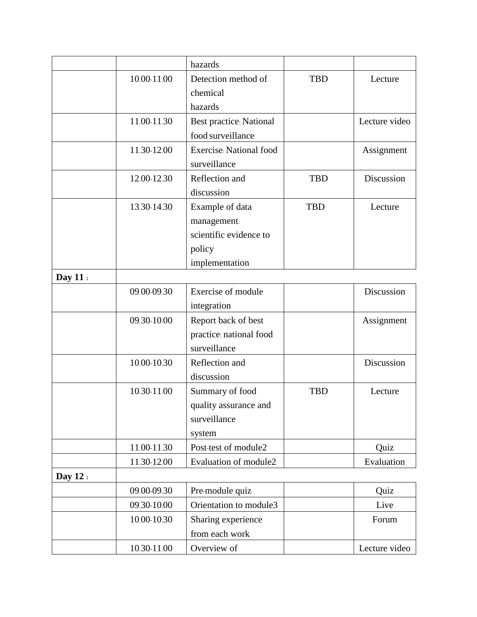|         |             | hazards                        |            |               |
|---------|-------------|--------------------------------|------------|---------------|
|         | 10.00-11.00 | Detection method of            | <b>TBD</b> | Lecture       |
|         |             | chemical                       |            |               |
|         |             | hazards                        |            |               |
|         | 11.00-11.30 | Best practice: National        |            | Lecture video |
|         |             | food surveillance              |            |               |
|         | 11.30-12.00 | <b>Exercise: National food</b> |            | Assignment    |
|         |             | surveillance                   |            |               |
|         | 12.00-12.30 | Reflection and                 | <b>TBD</b> | Discussion    |
|         |             | discussion                     |            |               |
|         | 13.30-14.30 | Example of data                | <b>TBD</b> | Lecture       |
|         |             | management:                    |            |               |
|         |             | scientific evidence to         |            |               |
|         |             | policy                         |            |               |
|         |             | implementation                 |            |               |
| Day 11: |             |                                |            |               |
|         | 09.00-09.30 | Exercise of module             |            | Discussion    |
|         |             | integration                    |            |               |
|         | 09.30-10.00 | Report back of best            |            | Assignment    |
|         |             | practice: national food        |            |               |
|         |             | surveillance                   |            |               |
|         | 10.00-10.30 | Reflection and                 |            | Discussion    |
|         |             | discussion                     |            |               |
|         | 10.30-11.00 | Summary of food                | <b>TBD</b> | Lecture       |
|         |             | quality assurance and          |            |               |
|         |             | surveillance                   |            |               |
|         |             | system                         |            |               |
|         | 11.00-11.30 | Post-test of module2           |            | Quiz          |
|         | 11.30-12.00 | Evaluation of module2          |            | Evaluation    |
| Day 12: |             |                                |            |               |
|         | 09.00-09.30 | Pre-module quiz                |            | Quiz          |
|         | 09.30-10.00 | Orientation to module3         |            | Live          |
|         | 10.00-10.30 | Sharing experience             |            | Forum         |
|         |             | from each work                 |            |               |
|         | 10.30-11.00 | Overview of                    |            | Lecture video |